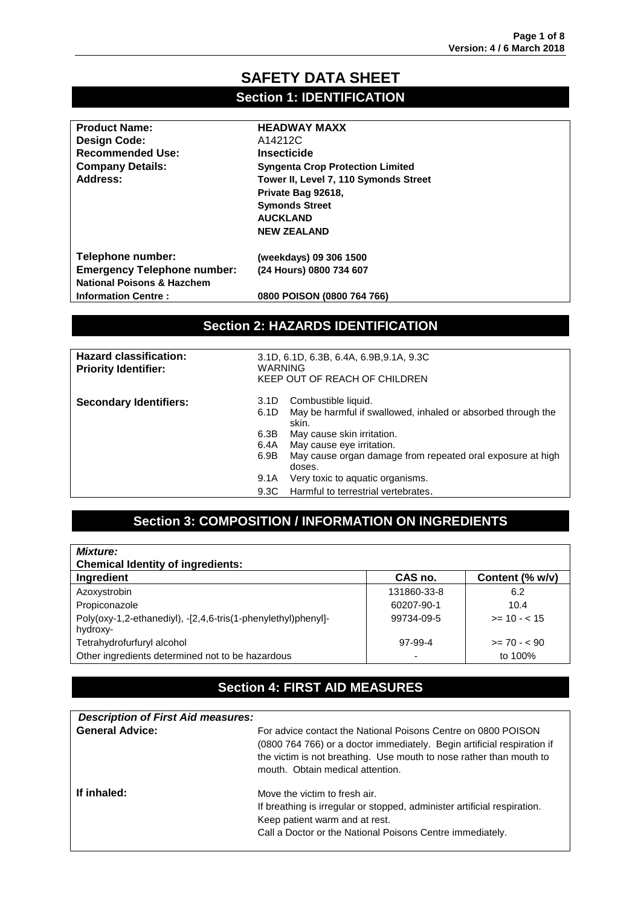### **SAFETY DATA SHEET Section 1: IDENTIFICATION**

| <b>Product Name:</b>                  | <b>HEADWAY MAXX</b>                     |
|---------------------------------------|-----------------------------------------|
| <b>Design Code:</b>                   | A14212C                                 |
| <b>Recommended Use:</b>               | <b>Insecticide</b>                      |
| <b>Company Details:</b>               | <b>Syngenta Crop Protection Limited</b> |
| Address:                              | Tower II, Level 7, 110 Symonds Street   |
|                                       | Private Bag 92618,                      |
|                                       | <b>Symonds Street</b>                   |
|                                       | <b>AUCKLAND</b>                         |
|                                       | <b>NEW ZEALAND</b>                      |
| Telephone number:                     | (weekdays) 09 306 1500                  |
| <b>Emergency Telephone number:</b>    | (24 Hours) 0800 734 607                 |
| <b>National Poisons &amp; Hazchem</b> |                                         |
| <b>Information Centre:</b>            | 0800 POISON (0800 764 766)              |
|                                       |                                         |
|                                       |                                         |

### **Section 2: HAZARDS IDENTIFICATION**

| <b>Hazard classification:</b><br><b>Priority Identifier:</b> | 3.1D, 6.1D, 6.3B, 6.4A, 6.9B, 9.1A, 9.3C<br>WARNING<br>KEEP OUT OF REACH OF CHILDREN |                                                                                                                                                                                                                                 |
|--------------------------------------------------------------|--------------------------------------------------------------------------------------|---------------------------------------------------------------------------------------------------------------------------------------------------------------------------------------------------------------------------------|
| <b>Secondary Identifiers:</b>                                | 3.1D<br>6.1D<br>6.3B<br>6.4A<br>6.9B                                                 | Combustible liquid.<br>May be harmful if swallowed, inhaled or absorbed through the<br>skin.<br>May cause skin irritation.<br>May cause eye irritation.<br>May cause organ damage from repeated oral exposure at high<br>doses. |
|                                                              | 9.1A<br>9.3C                                                                         | Very toxic to aquatic organisms.<br>Harmful to terrestrial vertebrates.                                                                                                                                                         |

# **Section 3: COMPOSITION / INFORMATION ON INGREDIENTS**

| <b>Mixture:</b>                                                           |             |                 |
|---------------------------------------------------------------------------|-------------|-----------------|
| <b>Chemical Identity of ingredients:</b>                                  |             |                 |
| Ingredient                                                                | CAS no.     | Content (% w/v) |
| Azoxystrobin                                                              | 131860-33-8 | 6.2             |
| Propiconazole                                                             | 60207-90-1  | 10.4            |
| Poly(oxy-1,2-ethanediyl), -[2,4,6-tris(1-phenylethyl)phenyl]-<br>hydroxy- | 99734-09-5  | $>= 10 - 15$    |
| Tetrahydrofurfuryl alcohol                                                | 97-99-4     | $>= 70 - 90$    |
| Other ingredients determined not to be hazardous                          | -           | to 100%         |

# **Section 4: FIRST AID MEASURES**

| <b>Description of First Aid measures:</b> |                                                                                                                                                                                                                                                     |
|-------------------------------------------|-----------------------------------------------------------------------------------------------------------------------------------------------------------------------------------------------------------------------------------------------------|
| <b>General Advice:</b>                    | For advice contact the National Poisons Centre on 0800 POISON<br>(0800 764 766) or a doctor immediately. Begin artificial respiration if<br>the victim is not breathing. Use mouth to nose rather than mouth to<br>mouth. Obtain medical attention. |
| If inhaled:                               | Move the victim to fresh air.<br>If breathing is irregular or stopped, administer artificial respiration.<br>Keep patient warm and at rest.<br>Call a Doctor or the National Poisons Centre immediately.                                            |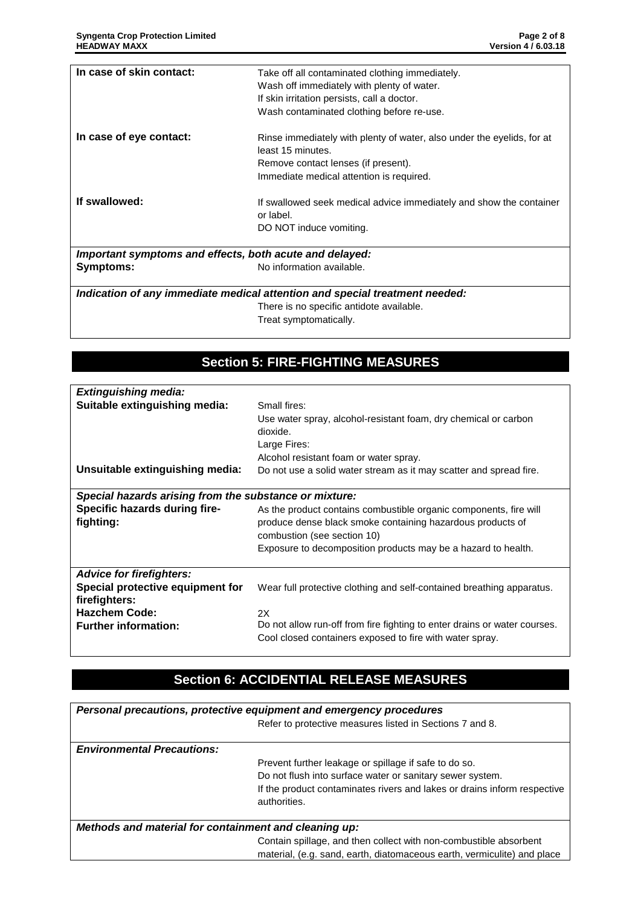| In case of skin contact:                                                    | Take off all contaminated clothing immediately.                                             |  |
|-----------------------------------------------------------------------------|---------------------------------------------------------------------------------------------|--|
|                                                                             | Wash off immediately with plenty of water.                                                  |  |
|                                                                             | If skin irritation persists, call a doctor.                                                 |  |
|                                                                             | Wash contaminated clothing before re-use.                                                   |  |
| In case of eye contact:                                                     | Rinse immediately with plenty of water, also under the eyelids, for at<br>least 15 minutes. |  |
|                                                                             | Remove contact lenses (if present).                                                         |  |
|                                                                             | Immediate medical attention is required.                                                    |  |
| If swallowed:                                                               | If swallowed seek medical advice immediately and show the container<br>or label.            |  |
|                                                                             | DO NOT induce vomiting.                                                                     |  |
| Important symptoms and effects, both acute and delayed:                     |                                                                                             |  |
| Symptoms:                                                                   | No information available.                                                                   |  |
| Indication of any immediate medical attention and special treatment needed: |                                                                                             |  |

There is no specific antidote available. Treat symptomatically.

### **Section 5: FIRE-FIGHTING MEASURES**

| <b>Extinguishing media:</b>                                      |                                                                                                                                                                                                                             |
|------------------------------------------------------------------|-----------------------------------------------------------------------------------------------------------------------------------------------------------------------------------------------------------------------------|
| Suitable extinguishing media:<br>Unsuitable extinguishing media: | Small fires:<br>Use water spray, alcohol-resistant foam, dry chemical or carbon<br>dioxide.<br>Large Fires:<br>Alcohol resistant foam or water spray.<br>Do not use a solid water stream as it may scatter and spread fire. |
|                                                                  |                                                                                                                                                                                                                             |
| Special hazards arising from the substance or mixture:           |                                                                                                                                                                                                                             |
| Specific hazards during fire-                                    | As the product contains combustible organic components, fire will                                                                                                                                                           |
| fighting:                                                        | produce dense black smoke containing hazardous products of                                                                                                                                                                  |
|                                                                  | combustion (see section 10)                                                                                                                                                                                                 |
|                                                                  | Exposure to decomposition products may be a hazard to health.                                                                                                                                                               |
|                                                                  |                                                                                                                                                                                                                             |
| <b>Advice for firefighters:</b>                                  |                                                                                                                                                                                                                             |
| Special protective equipment for                                 | Wear full protective clothing and self-contained breathing apparatus.                                                                                                                                                       |
| firefighters:                                                    |                                                                                                                                                                                                                             |
| <b>Hazchem Code:</b>                                             | 2X                                                                                                                                                                                                                          |
| <b>Further information:</b>                                      | Do not allow run-off from fire fighting to enter drains or water courses.                                                                                                                                                   |
|                                                                  | Cool closed containers exposed to fire with water spray.                                                                                                                                                                    |

# **Section 6: ACCIDENTIAL RELEASE MEASURES**

| Personal precautions, protective equipment and emergency procedures |                                                                                                                                              |  |
|---------------------------------------------------------------------|----------------------------------------------------------------------------------------------------------------------------------------------|--|
|                                                                     | Refer to protective measures listed in Sections 7 and 8.                                                                                     |  |
| <b>Environmental Precautions:</b>                                   |                                                                                                                                              |  |
|                                                                     | Prevent further leakage or spillage if safe to do so.                                                                                        |  |
|                                                                     | Do not flush into surface water or sanitary sewer system.                                                                                    |  |
|                                                                     | If the product contaminates rivers and lakes or drains inform respective<br>authorities.                                                     |  |
|                                                                     |                                                                                                                                              |  |
| Methods and material for containment and cleaning up:               |                                                                                                                                              |  |
|                                                                     | Contain spillage, and then collect with non-combustible absorbent<br>material, (e.g. sand, earth, diatomaceous earth, vermiculite) and place |  |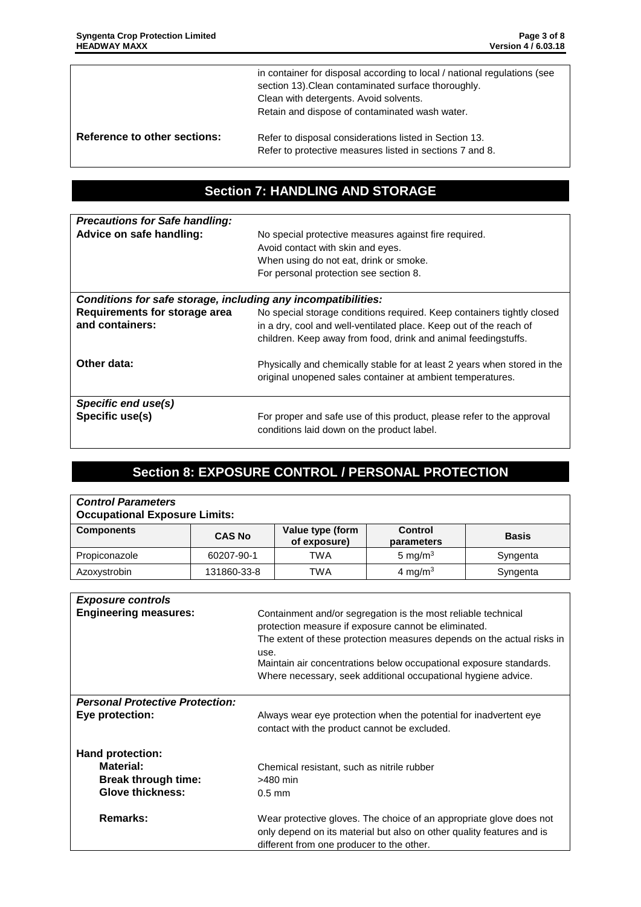|                              | in container for disposal according to local / national regulations (see<br>section 13). Clean contaminated surface thoroughly.<br>Clean with detergents. Avoid solvents.<br>Retain and dispose of contaminated wash water. |
|------------------------------|-----------------------------------------------------------------------------------------------------------------------------------------------------------------------------------------------------------------------------|
| Reference to other sections: | Refer to disposal considerations listed in Section 13.<br>Refer to protective measures listed in sections 7 and 8.                                                                                                          |

### **Section 7: HANDLING AND STORAGE**

| <b>Precautions for Safe handling:</b><br>Advice on safe handling: | No special protective measures against fire required.<br>Avoid contact with skin and eyes.<br>When using do not eat, drink or smoke.<br>For personal protection see section 8.                                 |  |
|-------------------------------------------------------------------|----------------------------------------------------------------------------------------------------------------------------------------------------------------------------------------------------------------|--|
| Conditions for safe storage, including any incompatibilities:     |                                                                                                                                                                                                                |  |
| Requirements for storage area<br>and containers:                  | No special storage conditions required. Keep containers tightly closed<br>in a dry, cool and well-ventilated place. Keep out of the reach of<br>children. Keep away from food, drink and animal feedingstuffs. |  |
| Other data:                                                       | Physically and chemically stable for at least 2 years when stored in the<br>original unopened sales container at ambient temperatures.                                                                         |  |
| Specific end use(s)                                               |                                                                                                                                                                                                                |  |
| Specific use(s)                                                   | For proper and safe use of this product, please refer to the approval<br>conditions laid down on the product label.                                                                                            |  |

### **Section 8: EXPOSURE CONTROL / PERSONAL PROTECTION**

| <b>Control Parameters</b><br><b>Occupational Exposure Limits:</b>                                         |               |                                                                                                     |                                                                                                                                                                                                                                                              |                                                                        |
|-----------------------------------------------------------------------------------------------------------|---------------|-----------------------------------------------------------------------------------------------------|--------------------------------------------------------------------------------------------------------------------------------------------------------------------------------------------------------------------------------------------------------------|------------------------------------------------------------------------|
| <b>Components</b>                                                                                         | <b>CAS No</b> | Value type (form<br>of exposure)                                                                    | Control<br>parameters                                                                                                                                                                                                                                        | <b>Basis</b>                                                           |
| Propiconazole                                                                                             | 60207-90-1    | <b>TWA</b>                                                                                          | 5 mg/ $m3$                                                                                                                                                                                                                                                   | Syngenta                                                               |
| Azoxystrobin                                                                                              | 131860-33-8   | TWA                                                                                                 | 4 mg/m $3$                                                                                                                                                                                                                                                   | Syngenta                                                               |
|                                                                                                           |               |                                                                                                     |                                                                                                                                                                                                                                                              |                                                                        |
| <b>Exposure controls</b><br><b>Engineering measures:</b>                                                  | use.          |                                                                                                     | Containment and/or segregation is the most reliable technical<br>protection measure if exposure cannot be eliminated.<br>Maintain air concentrations below occupational exposure standards.<br>Where necessary, seek additional occupational hygiene advice. | The extent of these protection measures depends on the actual risks in |
| <b>Personal Protective Protection:</b><br>Eye protection:                                                 |               | contact with the product cannot be excluded.                                                        | Always wear eye protection when the potential for inadvertent eye                                                                                                                                                                                            |                                                                        |
| Hand protection:<br>Material:<br><b>Break through time:</b><br><b>Glove thickness:</b><br><b>Remarks:</b> | $0.5$ mm      | Chemical resistant, such as nitrile rubber<br>>480 min<br>different from one producer to the other. | Wear protective gloves. The choice of an appropriate glove does not<br>only depend on its material but also on other quality features and is                                                                                                                 |                                                                        |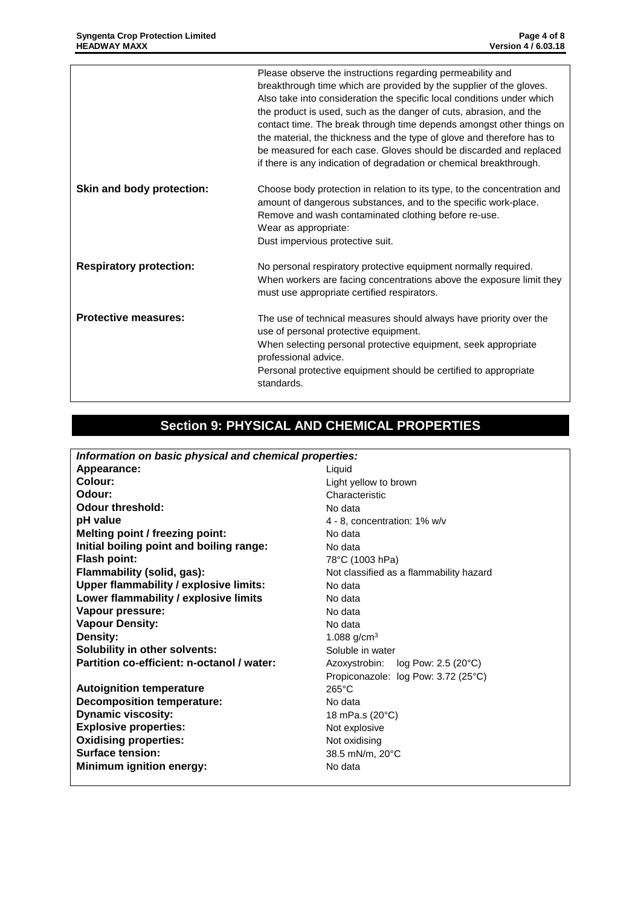|                                | Please observe the instructions regarding permeability and<br>breakthrough time which are provided by the supplier of the gloves.<br>Also take into consideration the specific local conditions under which<br>the product is used, such as the danger of cuts, abrasion, and the<br>contact time. The break through time depends amongst other things on<br>the material, the thickness and the type of glove and therefore has to<br>be measured for each case. Gloves should be discarded and replaced<br>if there is any indication of degradation or chemical breakthrough. |
|--------------------------------|----------------------------------------------------------------------------------------------------------------------------------------------------------------------------------------------------------------------------------------------------------------------------------------------------------------------------------------------------------------------------------------------------------------------------------------------------------------------------------------------------------------------------------------------------------------------------------|
| Skin and body protection:      | Choose body protection in relation to its type, to the concentration and<br>amount of dangerous substances, and to the specific work-place.<br>Remove and wash contaminated clothing before re-use.<br>Wear as appropriate:<br>Dust impervious protective suit.                                                                                                                                                                                                                                                                                                                  |
| <b>Respiratory protection:</b> | No personal respiratory protective equipment normally required.<br>When workers are facing concentrations above the exposure limit they<br>must use appropriate certified respirators.                                                                                                                                                                                                                                                                                                                                                                                           |
| <b>Protective measures:</b>    | The use of technical measures should always have priority over the<br>use of personal protective equipment.<br>When selecting personal protective equipment, seek appropriate<br>professional advice.<br>Personal protective equipment should be certified to appropriate<br>standards.                                                                                                                                                                                                                                                                                          |

# **Section 9: PHYSICAL AND CHEMICAL PROPERTIES**

| Information on basic physical and chemical properties: |                                         |  |
|--------------------------------------------------------|-----------------------------------------|--|
| Appearance:                                            | Liquid                                  |  |
| Colour:                                                | Light yellow to brown                   |  |
| Odour:                                                 | Characteristic                          |  |
| Odour threshold:                                       | No data                                 |  |
| pH value                                               | 4 - 8, concentration: 1% w/v            |  |
| <b>Melting point / freezing point:</b>                 | No data                                 |  |
| Initial boiling point and boiling range:               | No data                                 |  |
| Flash point:                                           | 78°C (1003 hPa)                         |  |
| Flammability (solid, gas):                             | Not classified as a flammability hazard |  |
| <b>Upper flammability / explosive limits:</b>          | No data                                 |  |
| Lower flammability / explosive limits                  | No data                                 |  |
| Vapour pressure:                                       | No data                                 |  |
| <b>Vapour Density:</b>                                 | No data                                 |  |
| Density:                                               | 1.088 $g/cm^{3}$                        |  |
| Solubility in other solvents:                          | Soluble in water                        |  |
| Partition co-efficient: n-octanol / water:             | Azoxystrobin: log Pow: 2.5 (20°C)       |  |
|                                                        | Propiconazole: log Pow: 3.72 (25°C)     |  |
| <b>Autoignition temperature</b>                        | $265^{\circ}$ C                         |  |
| <b>Decomposition temperature:</b>                      | No data                                 |  |
| <b>Dynamic viscosity:</b>                              | 18 mPa.s (20°C)                         |  |
| <b>Explosive properties:</b>                           | Not explosive                           |  |
| <b>Oxidising properties:</b>                           | Not oxidising                           |  |
| Surface tension:                                       | 38.5 mN/m, 20°C                         |  |
| <b>Minimum ignition energy:</b>                        | No data                                 |  |
|                                                        |                                         |  |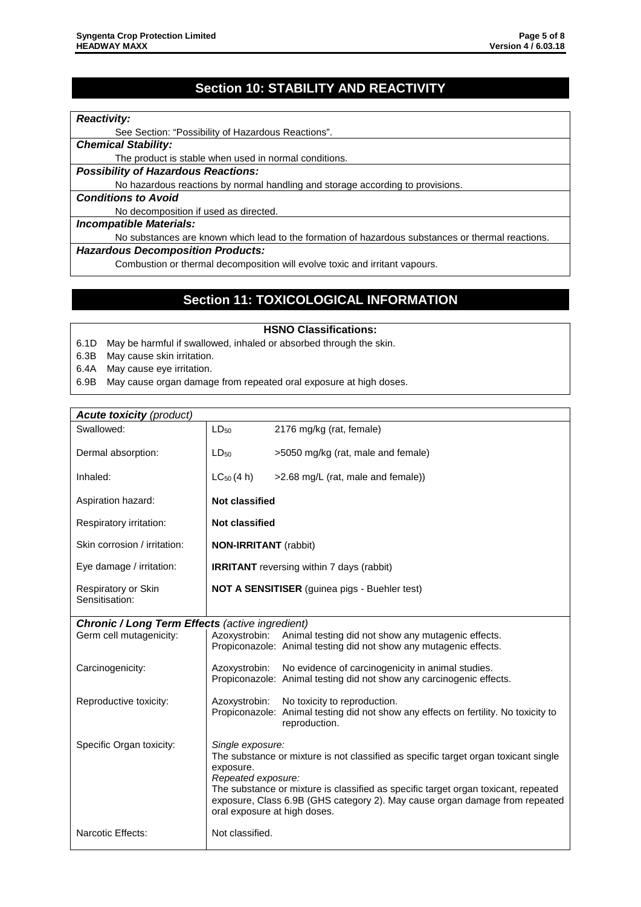### **Section 10: STABILITY AND REACTIVITY**

#### *Reactivity:*

See Section: "Possibility of Hazardous Reactions".

*Chemical Stability:*

The product is stable when used in normal conditions.

*Possibility of Hazardous Reactions:*

No hazardous reactions by normal handling and storage according to provisions.

#### *Conditions to Avoid*

No decomposition if used as directed.

#### *Incompatible Materials:*

No substances are known which lead to the formation of hazardous substances or thermal reactions.

#### *Hazardous Decomposition Products:*

Combustion or thermal decomposition will evolve toxic and irritant vapours.

### **Section 11: TOXICOLOGICAL INFORMATION**

#### **HSNO Classifications:**

- 6.1D May be harmful if swallowed, inhaled or absorbed through the skin.
- 6.3B May cause skin irritation.
- 6.4A May cause eye irritation.
- 6.9B May cause organ damage from repeated oral exposure at high doses.

### *Acute toxicity (product)* Swallowed:  $\vert$  LD<sub>50</sub> 2176 mg/kg (rat, female) Dermal absorption:  $\vert$  LD<sub>50</sub>  $>$ 5050 mg/kg (rat, male and female) Inhaled:  $\vert$  LC<sub>50</sub> (4 h)  $\vert$  >2.68 mg/L (rat, male and female)) Aspiration hazard: **Not classified** Respiratory irritation: **Not classified** Skin corrosion / irritation: **NON-IRRITANT** (rabbit) Eye damage / irritation: **IRRITANT** reversing within 7 days (rabbit) Respiratory or Skin Sensitisation: **NOT A SENSITISER** (guinea pigs - Buehler test) **Chronic / Long Term Effects** (active ingredient)<br>Germ cell mutagenicity:  $\begin{vmatrix} \end{vmatrix}$  Azoxystrobin: Anima Animal testing did not show any mutagenic effects. Propiconazole: Animal testing did not show any mutagenic effects. Carcinogenicity: <br> Azoxystrobin: No evidence of carcinogenicity in animal studies. Propiconazole: Animal testing did not show any carcinogenic effects. Reproductive toxicity: Azoxystrobin: No toxicity to reproduction. Propiconazole: Animal testing did not show any effects on fertility. No toxicity to reproduction. Specific Organ toxicity: *Single exposure:* The substance or mixture is not classified as specific target organ toxicant single exposure. *Repeated exposure:* The substance or mixture is classified as specific target organ toxicant, repeated exposure, Class 6.9B (GHS category 2). May cause organ damage from repeated oral exposure at high doses. Narcotic Effects: Not classified.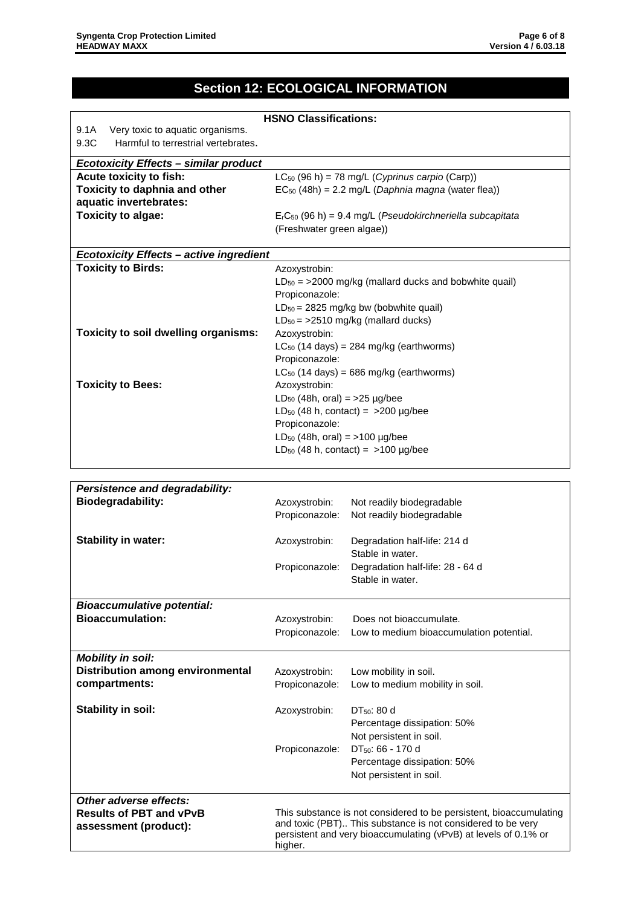# **Section 12: ECOLOGICAL INFORMATION**

| <b>HSNO Classifications:</b>                   |                                                |                                                            |  |  |
|------------------------------------------------|------------------------------------------------|------------------------------------------------------------|--|--|
| 9.1A<br>Very toxic to aquatic organisms.       |                                                |                                                            |  |  |
| 9.3C<br>Harmful to terrestrial vertebrates.    |                                                |                                                            |  |  |
| <b>Ecotoxicity Effects - similar product</b>   |                                                |                                                            |  |  |
| Acute toxicity to fish:                        |                                                | $LC_{50}$ (96 h) = 78 mg/L (Cyprinus carpio (Carp))        |  |  |
| Toxicity to daphnia and other                  |                                                | $EC_{50}$ (48h) = 2.2 mg/L (Daphnia magna (water flea))    |  |  |
| aquatic invertebrates:                         |                                                |                                                            |  |  |
| <b>Toxicity to algae:</b>                      |                                                | $ErC50$ (96 h) = 9.4 mg/L (Pseudokirchneriella subcapitata |  |  |
|                                                | (Freshwater green algae))                      |                                                            |  |  |
|                                                |                                                |                                                            |  |  |
| <b>Ecotoxicity Effects - active ingredient</b> |                                                |                                                            |  |  |
| <b>Toxicity to Birds:</b>                      | Azoxystrobin:                                  |                                                            |  |  |
|                                                |                                                | $LD_{50}$ = >2000 mg/kg (mallard ducks and bobwhite quail) |  |  |
|                                                | Propiconazole:                                 |                                                            |  |  |
|                                                |                                                | $LD_{50} = 2825$ mg/kg bw (bobwhite quail)                 |  |  |
|                                                |                                                | $LD_{50}$ = >2510 mg/kg (mallard ducks)                    |  |  |
| Toxicity to soil dwelling organisms:           | Azoxystrobin:                                  |                                                            |  |  |
|                                                |                                                | $LC_{50}$ (14 days) = 284 mg/kg (earthworms)               |  |  |
|                                                | Propiconazole:                                 |                                                            |  |  |
|                                                |                                                | $LC_{50}$ (14 days) = 686 mg/kg (earthworms)               |  |  |
| <b>Toxicity to Bees:</b>                       | Azoxystrobin:                                  |                                                            |  |  |
|                                                | LD <sub>50</sub> (48h, oral) = $>25 \mu g/bee$ |                                                            |  |  |
|                                                |                                                | LD <sub>50</sub> (48 h, contact) = $>200$ µg/bee           |  |  |
|                                                | Propiconazole:                                 |                                                            |  |  |
|                                                | $LD_{50}$ (48h, oral) = >100 $\mu$ g/bee       |                                                            |  |  |
|                                                |                                                | LD <sub>50</sub> (48 h, contact) = $>100$ µg/bee           |  |  |
|                                                |                                                |                                                            |  |  |
|                                                |                                                |                                                            |  |  |
| <b>Persistence and degradability:</b>          |                                                |                                                            |  |  |
| <b>Biodegradability:</b>                       | Azoxystrobin:                                  | Not readily biodegradable                                  |  |  |
|                                                | Propiconazole:                                 | Not readily biodegradable                                  |  |  |
|                                                |                                                |                                                            |  |  |
| <b>Stability in water:</b>                     | Azoxystrobin:                                  | Degradation half-life: 214 d                               |  |  |
|                                                |                                                | Stable in water.                                           |  |  |
|                                                | Propiconazole:                                 | Degradation half-life: 28 - 64 d                           |  |  |
|                                                |                                                | Stable in water.                                           |  |  |
|                                                |                                                |                                                            |  |  |
| <b>Bioaccumulative potential:</b>              |                                                |                                                            |  |  |
| <b>Bioaccumulation:</b>                        | Azoxystrobin:                                  | Does not bioaccumulate.                                    |  |  |

|                                                                                      |                                                                                                                                                                                                                 | Propiconazole: Low to medium bioaccumulation potential.                                 |
|--------------------------------------------------------------------------------------|-----------------------------------------------------------------------------------------------------------------------------------------------------------------------------------------------------------------|-----------------------------------------------------------------------------------------|
| <b>Mobility in soil:</b><br><b>Distribution among environmental</b><br>compartments: | Azoxystrobin:<br>Propiconazole:                                                                                                                                                                                 | Low mobility in soil.<br>Low to medium mobility in soil.                                |
| Stability in soil:                                                                   | Azoxystrobin:                                                                                                                                                                                                   | $DT_{50}$ : 80 d<br>Percentage dissipation: 50%<br>Not persistent in soil.              |
|                                                                                      | Propiconazole:                                                                                                                                                                                                  | DT <sub>50</sub> : 66 - 170 d<br>Percentage dissipation: 50%<br>Not persistent in soil. |
| Other adverse effects:<br><b>Results of PBT and vPvB</b><br>assessment (product):    | This substance is not considered to be persistent, bioaccumulating<br>and toxic (PBT) This substance is not considered to be very<br>persistent and very bioaccumulating (vPvB) at levels of 0.1% or<br>higher. |                                                                                         |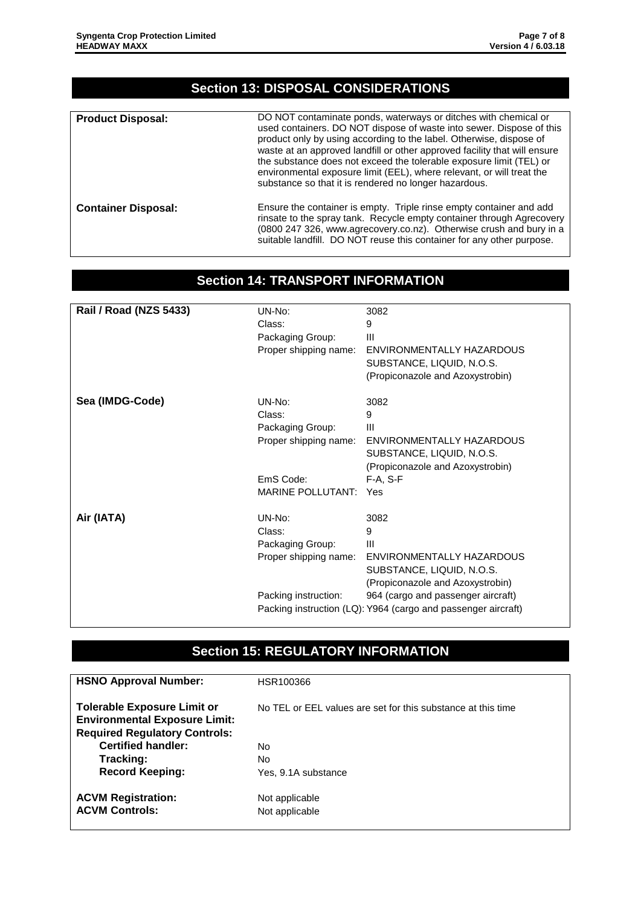### **Section 13: DISPOSAL CONSIDERATIONS**

| <b>Product Disposal:</b>   | DO NOT contaminate ponds, waterways or ditches with chemical or<br>used containers. DO NOT dispose of waste into sewer. Dispose of this<br>product only by using according to the label. Otherwise, dispose of<br>waste at an approved landfill or other approved facility that will ensure<br>the substance does not exceed the tolerable exposure limit (TEL) or<br>environmental exposure limit (EEL), where relevant, or will treat the<br>substance so that it is rendered no longer hazardous. |
|----------------------------|------------------------------------------------------------------------------------------------------------------------------------------------------------------------------------------------------------------------------------------------------------------------------------------------------------------------------------------------------------------------------------------------------------------------------------------------------------------------------------------------------|
| <b>Container Disposal:</b> | Ensure the container is empty. Triple rinse empty container and add<br>rinsate to the spray tank. Recycle empty container through Agrecovery<br>(0800 247 326, www.agrecovery.co.nz). Otherwise crush and bury in a<br>suitable landfill. DO NOT reuse this container for any other purpose.                                                                                                                                                                                                         |

### **Section 14: TRANSPORT INFORMATION**

| <b>Rail / Road (NZS 5433)</b> | $UN-No$ :<br>Class:<br>Packaging Group:<br>Proper shipping name: | 3082<br>9<br>Ш<br>ENVIRONMENTALLY HAZARDOUS<br>SUBSTANCE, LIQUID, N.O.S.<br>(Propiconazole and Azoxystrobin) |
|-------------------------------|------------------------------------------------------------------|--------------------------------------------------------------------------------------------------------------|
| Sea (IMDG-Code)               | UN-No:<br>Class:<br>Packaging Group:<br>Proper shipping name:    | 3082<br>9<br>Ш<br>ENVIRONMENTALLY HAZARDOUS<br>SUBSTANCE, LIQUID, N.O.S.<br>(Propiconazole and Azoxystrobin) |
|                               | EmS Code:<br><b>MARINE POLLUTANT:</b>                            | $F-A. S-F$<br>Yes                                                                                            |
| Air (IATA)                    | $UN-No$ :<br>Class:<br>Packaging Group:<br>Proper shipping name: | 3082<br>9<br>Ш<br>ENVIRONMENTALLY HAZARDOUS<br>SUBSTANCE, LIQUID, N.O.S.<br>(Propiconazole and Azoxystrobin) |
|                               | Packing instruction:                                             | 964 (cargo and passenger aircraft)<br>Packing instruction (LQ): Y964 (cargo and passenger aircraft)          |

### **Section 15: REGULATORY INFORMATION**

| <b>HSNO Approval Number:</b>                                                                                       | HSR100366                                                    |
|--------------------------------------------------------------------------------------------------------------------|--------------------------------------------------------------|
| <b>Tolerable Exposure Limit or</b><br><b>Environmental Exposure Limit:</b><br><b>Required Regulatory Controls:</b> | No TEL or EEL values are set for this substance at this time |
| <b>Certified handler:</b>                                                                                          | No                                                           |
| Tracking:                                                                                                          | No                                                           |
| <b>Record Keeping:</b>                                                                                             | Yes, 9.1A substance                                          |
| <b>ACVM Registration:</b>                                                                                          | Not applicable                                               |
| <b>ACVM Controls:</b>                                                                                              | Not applicable                                               |
|                                                                                                                    |                                                              |